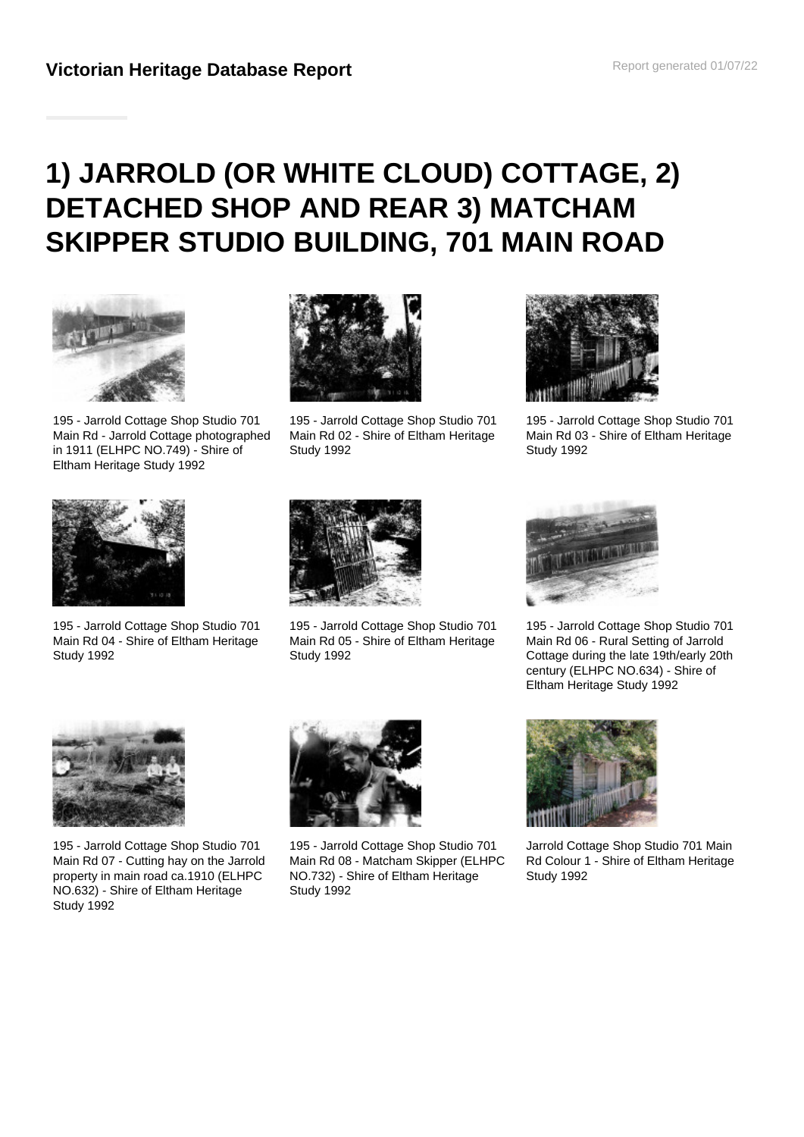# **1) JARROLD (OR WHITE CLOUD) COTTAGE, 2) DETACHED SHOP AND REAR 3) MATCHAM SKIPPER STUDIO BUILDING, 701 MAIN ROAD**



195 - Jarrold Cottage Shop Studio 701 Main Rd - Jarrold Cottage photographed in 1911 (ELHPC NO.749) - Shire of Eltham Heritage Study 1992



195 - Jarrold Cottage Shop Studio 701 Main Rd 02 - Shire of Eltham Heritage Study 1992



195 - Jarrold Cottage Shop Studio 701 Main Rd 03 - Shire of Eltham Heritage Study 1992



195 - Jarrold Cottage Shop Studio 701 Main Rd 04 - Shire of Eltham Heritage Study 1992



195 - Jarrold Cottage Shop Studio 701 Main Rd 05 - Shire of Eltham Heritage Study 1992



195 - Jarrold Cottage Shop Studio 701 Main Rd 06 - Rural Setting of Jarrold Cottage during the late 19th/early 20th century (ELHPC NO.634) - Shire of Eltham Heritage Study 1992



195 - Jarrold Cottage Shop Studio 701 Main Rd 07 - Cutting hay on the Jarrold property in main road ca.1910 (ELHPC NO.632) - Shire of Eltham Heritage Study 1992



195 - Jarrold Cottage Shop Studio 701 Main Rd 08 - Matcham Skipper (ELHPC NO.732) - Shire of Eltham Heritage Study 1992



Jarrold Cottage Shop Studio 701 Main Rd Colour 1 - Shire of Eltham Heritage Study 1992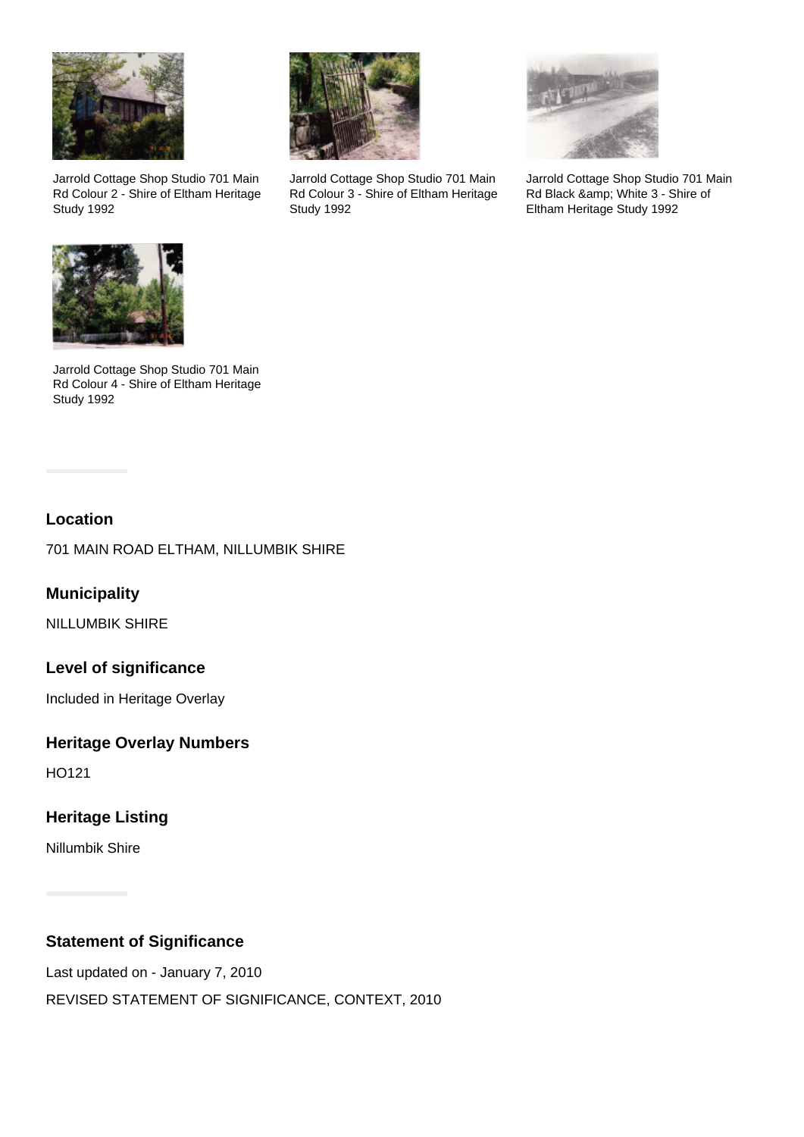

Jarrold Cottage Shop Studio 701 Main Rd Colour 2 - Shire of Eltham Heritage Study 1992



Jarrold Cottage Shop Studio 701 Main Rd Colour 3 - Shire of Eltham Heritage Study 1992



Jarrold Cottage Shop Studio 701 Main Rd Black & amp; White 3 - Shire of Eltham Heritage Study 1992



Jarrold Cottage Shop Studio 701 Main Rd Colour 4 - Shire of Eltham Heritage Study 1992

## **Location**

701 MAIN ROAD ELTHAM, NILLUMBIK SHIRE

**Municipality**

NILLUMBIK SHIRE

# **Level of significance**

Included in Heritage Overlay

## **Heritage Overlay Numbers**

HO121

# **Heritage Listing**

Nillumbik Shire

# **Statement of Significance**

Last updated on - January 7, 2010 REVISED STATEMENT OF SIGNIFICANCE, CONTEXT, 2010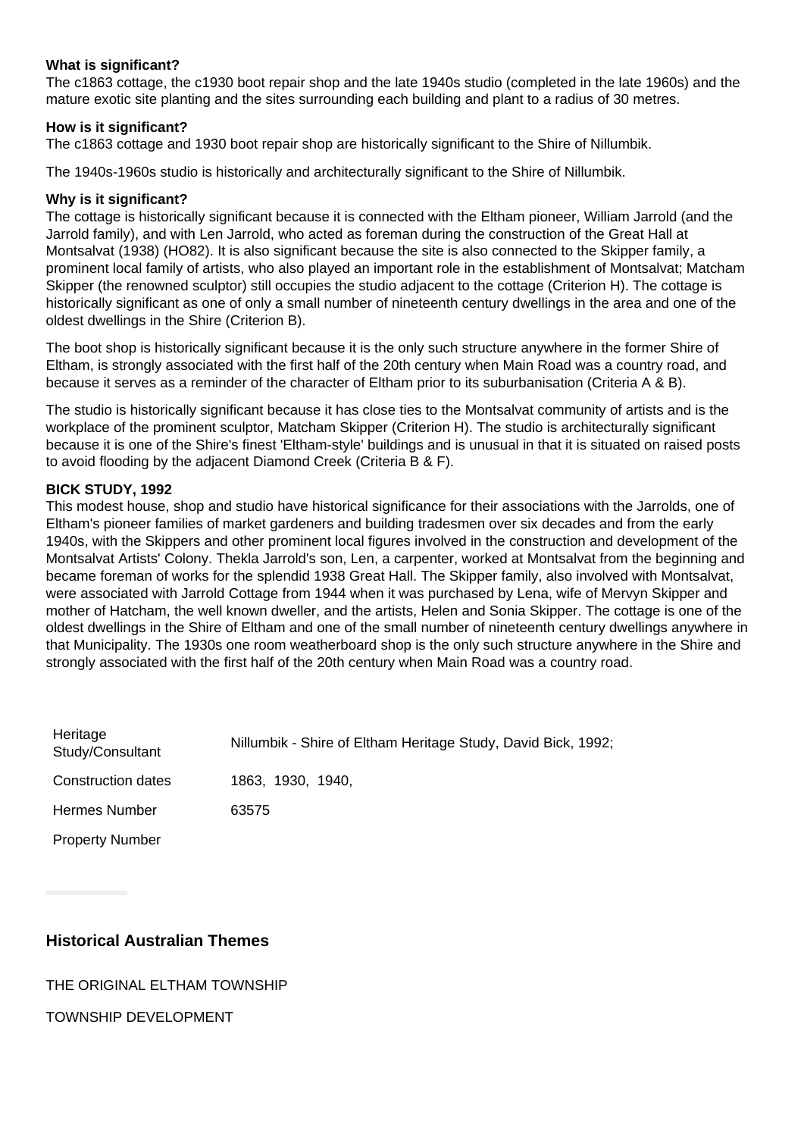#### **What is significant?**

The c1863 cottage, the c1930 boot repair shop and the late 1940s studio (completed in the late 1960s) and the mature exotic site planting and the sites surrounding each building and plant to a radius of 30 metres.

#### **How is it significant?**

The c1863 cottage and 1930 boot repair shop are historically significant to the Shire of Nillumbik.

The 1940s-1960s studio is historically and architecturally significant to the Shire of Nillumbik.

## **Why is it significant?**

The cottage is historically significant because it is connected with the Eltham pioneer, William Jarrold (and the Jarrold family), and with Len Jarrold, who acted as foreman during the construction of the Great Hall at Montsalvat (1938) (HO82). It is also significant because the site is also connected to the Skipper family, a prominent local family of artists, who also played an important role in the establishment of Montsalvat; Matcham Skipper (the renowned sculptor) still occupies the studio adjacent to the cottage (Criterion H). The cottage is historically significant as one of only a small number of nineteenth century dwellings in the area and one of the oldest dwellings in the Shire (Criterion B).

The boot shop is historically significant because it is the only such structure anywhere in the former Shire of Eltham, is strongly associated with the first half of the 20th century when Main Road was a country road, and because it serves as a reminder of the character of Eltham prior to its suburbanisation (Criteria A & B).

The studio is historically significant because it has close ties to the Montsalvat community of artists and is the workplace of the prominent sculptor, Matcham Skipper (Criterion H). The studio is architecturally significant because it is one of the Shire's finest 'Eltham-style' buildings and is unusual in that it is situated on raised posts to avoid flooding by the adjacent Diamond Creek (Criteria B & F).

## **BICK STUDY, 1992**

This modest house, shop and studio have historical significance for their associations with the Jarrolds, one of Eltham's pioneer families of market gardeners and building tradesmen over six decades and from the early 1940s, with the Skippers and other prominent local figures involved in the construction and development of the Montsalvat Artists' Colony. Thekla Jarrold's son, Len, a carpenter, worked at Montsalvat from the beginning and became foreman of works for the splendid 1938 Great Hall. The Skipper family, also involved with Montsalvat, were associated with Jarrold Cottage from 1944 when it was purchased by Lena, wife of Mervyn Skipper and mother of Hatcham, the well known dweller, and the artists, Helen and Sonia Skipper. The cottage is one of the oldest dwellings in the Shire of Eltham and one of the small number of nineteenth century dwellings anywhere in that Municipality. The 1930s one room weatherboard shop is the only such structure anywhere in the Shire and strongly associated with the first half of the 20th century when Main Road was a country road.

| Heritage<br>Study/Consultant | Nillumbik - Shire of Eltham Heritage Study, David Bick, 1992; |
|------------------------------|---------------------------------------------------------------|
| <b>Construction dates</b>    | 1863, 1930, 1940,                                             |
| <b>Hermes Number</b>         | 63575                                                         |
| <b>Property Number</b>       |                                                               |

## **Historical Australian Themes**

## THE ORIGINAL ELTHAM TOWNSHIP

TOWNSHIP DEVELOPMENT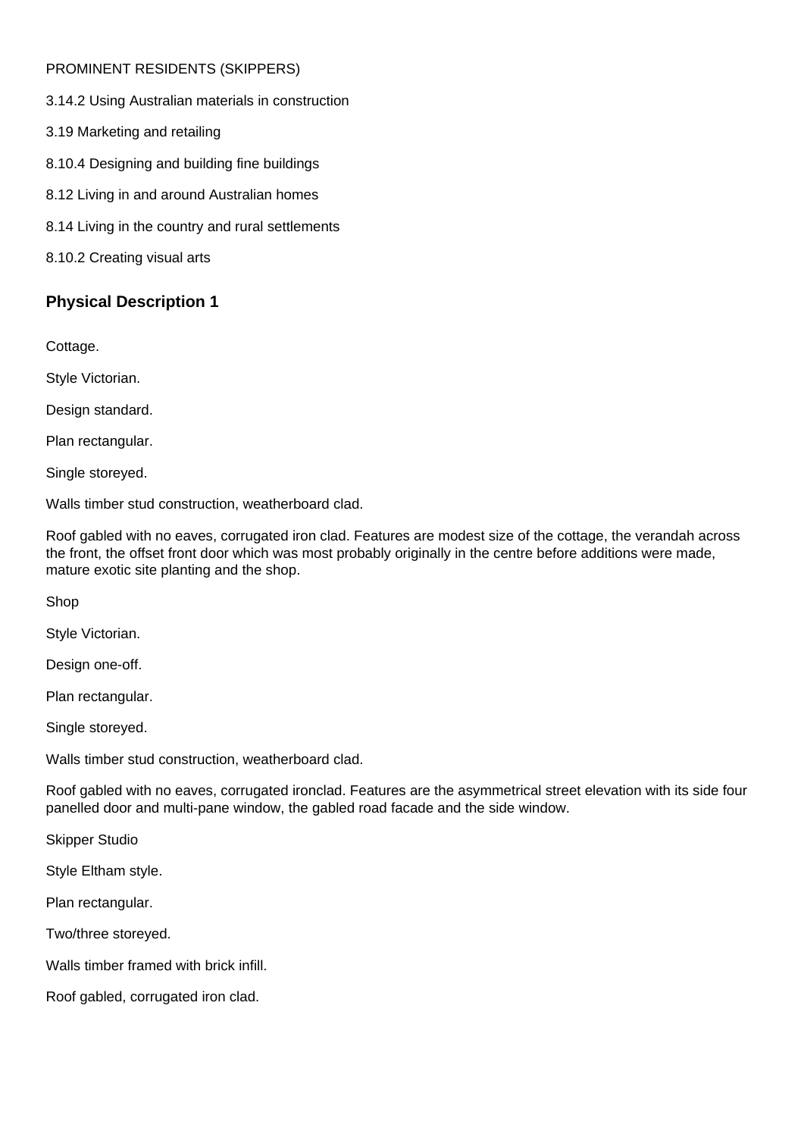## PROMINENT RESIDENTS (SKIPPERS)

3.14.2 Using Australian materials in construction

- 3.19 Marketing and retailing
- 8.10.4 Designing and building fine buildings
- 8.12 Living in and around Australian homes
- 8.14 Living in the country and rural settlements
- 8.10.2 Creating visual arts

## **Physical Description 1**

Cottage.

Style Victorian.

Design standard.

Plan rectangular.

Single storeyed.

Walls timber stud construction, weatherboard clad.

Roof gabled with no eaves, corrugated iron clad. Features are modest size of the cottage, the verandah across the front, the offset front door which was most probably originally in the centre before additions were made, mature exotic site planting and the shop.

Shop

Style Victorian.

Design one-off.

Plan rectangular.

Single storeyed.

Walls timber stud construction, weatherboard clad.

Roof gabled with no eaves, corrugated ironclad. Features are the asymmetrical street elevation with its side four panelled door and multi-pane window, the gabled road facade and the side window.

Skipper Studio

Style Eltham style.

Plan rectangular.

Two/three storeyed.

Walls timber framed with brick infill.

Roof gabled, corrugated iron clad.